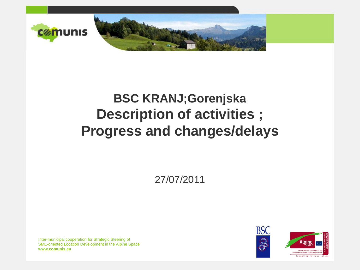

### **BSC KRANJ;Gorenjska Description of activities ; Progress and changes/delays**

27/07/2011

Inter-municipal cooperation for Strategic Steering of SME-oriented Location Development in the Alpine Space **www.comunis.eu**

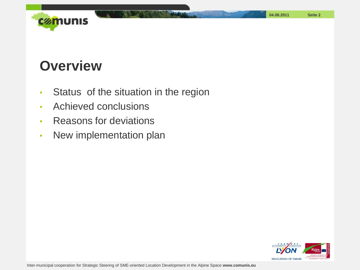

#### **Overview**

- Status of the situation in the region
- Achieved conclusions
- Reasons for deviations
- New implementation plan

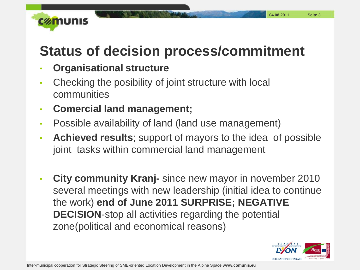

# **Status of decision process/commitment**

- **Organisational structure**
- Checking the posibility of joint structure with local communities
- **Comercial land management;**
- Possible availability of land (land use management)
- **Achieved results**; support of mayors to the idea of possible joint tasks within commercial land management
- **City community Kranj-** since new mayor in november 2010 several meetings with new leadership (initial idea to continue the work) **end of June 2011 SURPRISE; NEGATIVE DECISION**-stop all activities regarding the potential zone(political and economical reasons)

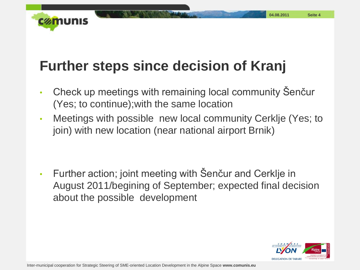

## **Further steps since decision of Kranj**

- Check up meetings with remaining local community Šenčur (Yes; to continue);with the same location
- Meetings with possible new local community Cerklje (Yes; to join) with new location (near national airport Brnik)

• Further action; joint meeting with Šenčur and Cerklje in August 2011/begining of September; expected final decision about the possible development

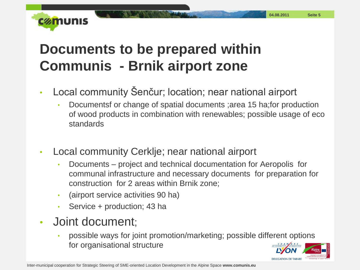

# **Documents to be prepared within Communis - Brnik airport zone**

- Local community Šenčur; location; near national airport
	- Documentsf or change of spatial documents ;area 15 ha;for production of wood products in combination with renewables; possible usage of eco standards
- Local community Cerklje; near national airport
	- Documents project and technical documentation for Aeropolis for communal infrastructure and necessary documents for preparation for construction for 2 areas within Brnik zone;
	- (airport service activities 90 ha)
	- Service + production; 43 ha
- Joint document;
	- possible ways for joint promotion/marketing; possible different options for organisational structure

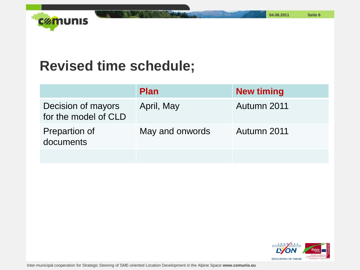**04.08.2011 Seite 6**



#### **Revised time schedule;**

|                                            | <b>Plan</b>     | <b>New timing</b> |
|--------------------------------------------|-----------------|-------------------|
| Decision of mayors<br>for the model of CLD | April, May      | Autumn 2011       |
| <b>Prepartion of</b><br>documents          | May and onwords | Autumn 2011       |
|                                            |                 |                   |



Inter-municipal cooperation for Strategic Steering of SME-oriented Location Development in the Alpine Space **www.comunis.eu**